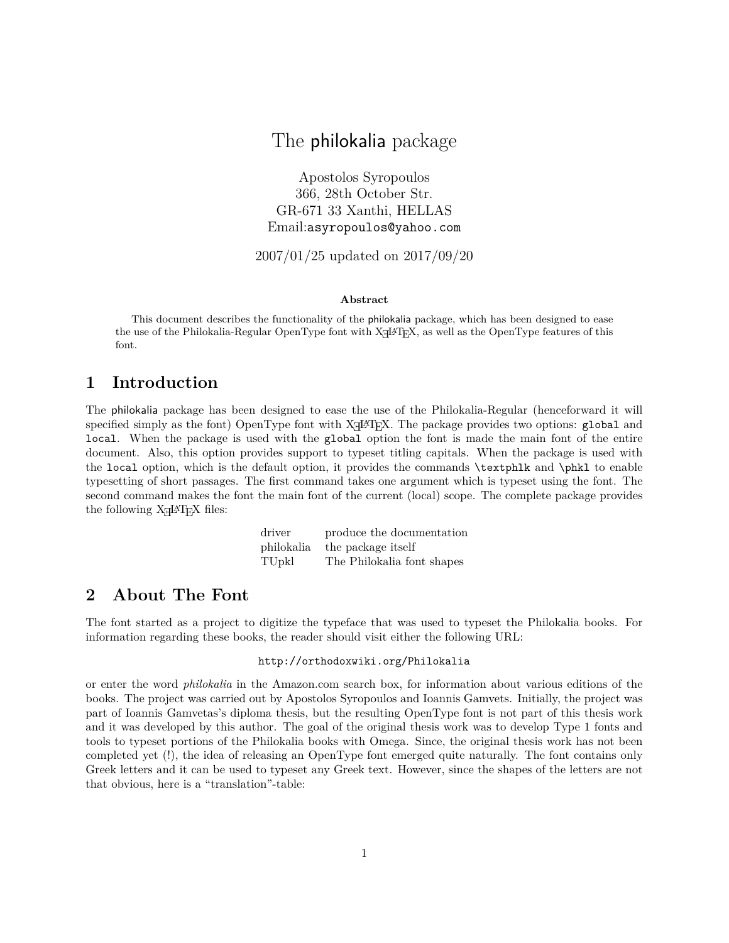# The philokalia package

Apostolos Syropoulos 366, 28th October Str. GR-671 33 Xanthi, HELLAS Email:asyropoulos@yahoo.com

2007/01/25 updated on 2017/09/20

#### **Abstract**

This document describes the functionality of the philokalia package, which has been designed to ease the use of the Philokalia-Regular OpenType font with XƎLATEX, as well as the OpenType features of this font.

### **1 Introduction**

The philokalia package has been designed to ease the use of the Philokalia-Regular (henceforward it will specified simply as the font) OpenType font with X $\frac{1}{4}$ T<sub>EX</sub>. The package provides two options: global and local. When the package is used with the global option the font is made the main font of the entire document. Also, this option provides support to typeset titling capitals. When the package is used with the local option, which is the default option, it provides the commands \textphlk and \phkl to enable typesetting of short passages. The first command takes one argument which is typeset using the font. The second command makes the font the main font of the current (local) scope. The complete package provides the following X<sub>H</sub>IAT<sub>E</sub>X files:

| driver            | produce the documentation  |
|-------------------|----------------------------|
| philokalia        | the package itself         |
| TU <sub>pkl</sub> | The Philokalia font shapes |

### **2 About The Font**

The font started as a project to digitize the typeface that was used to typeset the Philokalia books. For information regarding these books, the reader should visit either the following URL:

#### http://orthodoxwiki.org/Philokalia

or enter the word *philokalia* in the Amazon.com search box, for information about various editions of the books. The project was carried out by Apostolos Syropoulos and Ioannis Gamvets. Initially, the project was part of Ioannis Gamvetas's diploma thesis, but the resulting OpenType font is not part of this thesis work and it was developed by this author. The goal of the original thesis work was to develop Type 1 fonts and tools to typeset portions of the Philokalia books with Omega. Since, the original thesis work has not been completed yet (!), the idea of releasing an OpenType font emerged quite naturally. The font contains only Greek letters and it can be used to typeset any Greek text. However, since the shapes of the letters are not that obvious, here is a "translation"-table: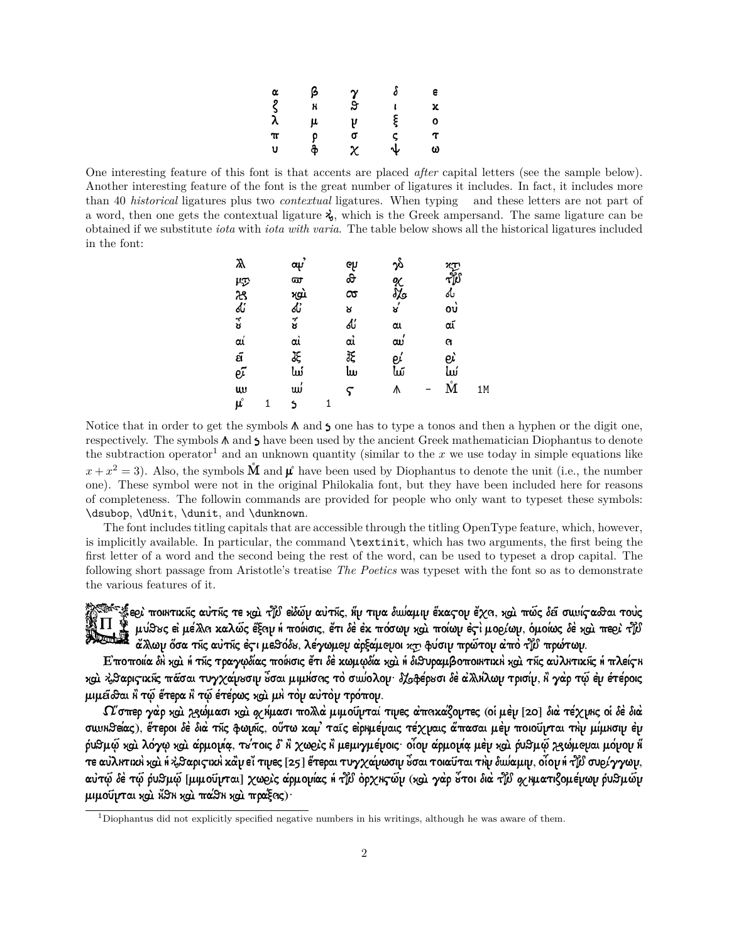| α                | β      | $\frac{\gamma}{9}$ | δ                 | е      |
|------------------|--------|--------------------|-------------------|--------|
| $\overline{\xi}$ | x      |                    |                   | x      |
|                  | μ      | ų<br>σ             | ξ                 | O      |
| $\pi$            |        |                    | ς                 | $\tau$ |
| U                | р<br>ቅ | $\chi$             | $\overline{\Psi}$ | ω      |

One interesting feature of this font is that accents are placed *after* capital letters (see the sample below). Another interesting feature of the font is the great number of ligatures it includes. In fact, it includes more than 40 *historical* ligatures plus two *contextual* ligatures. When typing and these letters are not part of a word, then one gets the contextual ligature  $\lambda$ , which is the Greek ampersand. The same ligature can be obtained if we substitute *iota* with *iota with varia*. The table below shows all the historical ligatures included in the font:

| Q                      | œψ                      |                | ည်            |                   |    |
|------------------------|-------------------------|----------------|---------------|-------------------|----|
|                        | ଙ୍ଗ                     | ಳಿ<br>ಹಿ       | ९<br>रेड<br>४ | رم<br>الأله<br>ما |    |
|                        |                         | $\infty$       |               |                   |    |
|                        |                         | R              |               | ໙່                |    |
| ほんぶ                    | મુવો<br>હ <i>ૈ</i><br>ઇ | ď              | αι            | αĩ                |    |
| αí                     | aì                      | $\vec{\alpha}$ | ຒ             | a                 |    |
|                        |                         | 张<br>lw        | eí<br>lw      | eì                |    |
| ต์<br>ย <sup>ู</sup> ้ | JE<br>Lui               |                |               | سا                |    |
| $\omega$               | ພ່                      | ς              | ٨             | ŅΔ                | 1M |
| $\pmb{\mu}^\circ$      | S                       |                |               |                   |    |

Notice that in order to get the symbols  $\Lambda$  and  $\lambda$  one has to type a tonos and then a hyphen or the digit one, respectively. The symbols  $\Lambda$  and  $\Lambda$  have been used by the ancient Greek mathematician Diophantus to denote the subtraction operator<sup>1</sup> and an unknown quantity (similar to the  $x$  we use today in simple equations like  $x + x^2 = 3$ ). Also, the symbols  $\tilde{M}$  and  $\mu^{\circ}$  have been used by Diophantus to denote the unit (i.e., the number one). These symbol were not in the original Philokalia font, but they have been included here for reasons of completeness. The followin commands are provided for people who only want to typeset these symbols: \dsubop, \dUnit, \dunit, and \dunknown.

The font includes titling capitals that are accessible through the titling OpenType feature, which, however, is implicitly available. In particular, the command \textinit, which has two arguments, the first being the first letter of a word and the second being the rest of the word, can be used to typeset a drop capital. The following short passage from Aristotle's treatise *The Poetics* was typeset with the font so as to demonstrate the various features of it.

**SARGERS** ε@: ποικτικῆς αὐτῆς τε χαὶ τիν εἰδῶν αὐτῆς, ἥν τινα δωίαμιν ἕκας ον ἔχα, χαὶ πῶς δεῖ σωιίς αδσαι τοὺς μύθες εἰ μέλλα καλώς ἕξαμ ἡ ποίκσις, ἔτι δὲ ἐκ πόσων καὶ ποίων ἐςὶ μοϱίων, ὁμοίως δὲ καὶ πεϱὶ τζύ ἄλλων ὅσα τῆς αὐτῆς ἐςι μεθόδε, λέγωμeμ ἀρξάμeμοι κτι φύσιν πρώτον ἀπὸ τի πρώτων.

Ε ποποιία δΗ και ή της τραγωδίας ποίнσις έτι δε κωμωδία και ή διθυραμβοποιητική και της αύλητικής ή πλείς η και λβαρις ικῆς πάσαι τυγχαίνεσιν ὖσαι μιμήσας τὸ σωύολου· δλφέρεσι δὲ αλλήλων τρισίν, ἢ γὰρ τῷ ἐν ἑτέροις μιμείδα Η τώ έτερα Η τώ έτέρως και μη τον αύτον τρόπον.

 $\Omega$ σπερ γὰρ καὶ χεώμασι καὶ φχίμασι πολλά μιμοῦνταί τινες ἀπακαζοντες (οἱ μὲν [20] διὰ τέχνικς οἱ δὲ διὰ σωνΗθείας), ἕτεροι δὲ διὰ τῆς φωμῆς, οὕτω καμ' ταῖς εἰρΗμέμαις τέχμαις ἄπασαι μὲν ποιοῦνται τΗν μίμΗσιν ἐν ộυθμῷ καὶ λόγῳ καὶ ἀρμομία, τ√τοις δ᾽ ἢ χωϱὶς ἢ μεμιγμέμοις· οἶομ ἀρμομία μὲν καὶ ῥυθμῷ Ἀ§ώμeμαι μόμον ἥ τε αὐλκτικλ και ή λβαρις ικλ κάν εϊ τινες [25] έτεραι τυγχανιωσιν ώσαι τοιαῦται τλν δωύαμιν, οίον ή τιν συρίγγων, αὐτῷ δὲ τῷ ῥυθμῷ [μιμοῦυται] χω $e$ ις άρμονίας ἡ το ὀρχις ῶν (χαι γὰρ ὅτοι διὰ το διὰ φιχριατιζομένων ῥυθμῶν μιμοῦμται και Α̈́θη και πάθη και πραξεις)·

<sup>1</sup>Diophantus did not explicitly specified negative numbers in his writings, although he was aware of them.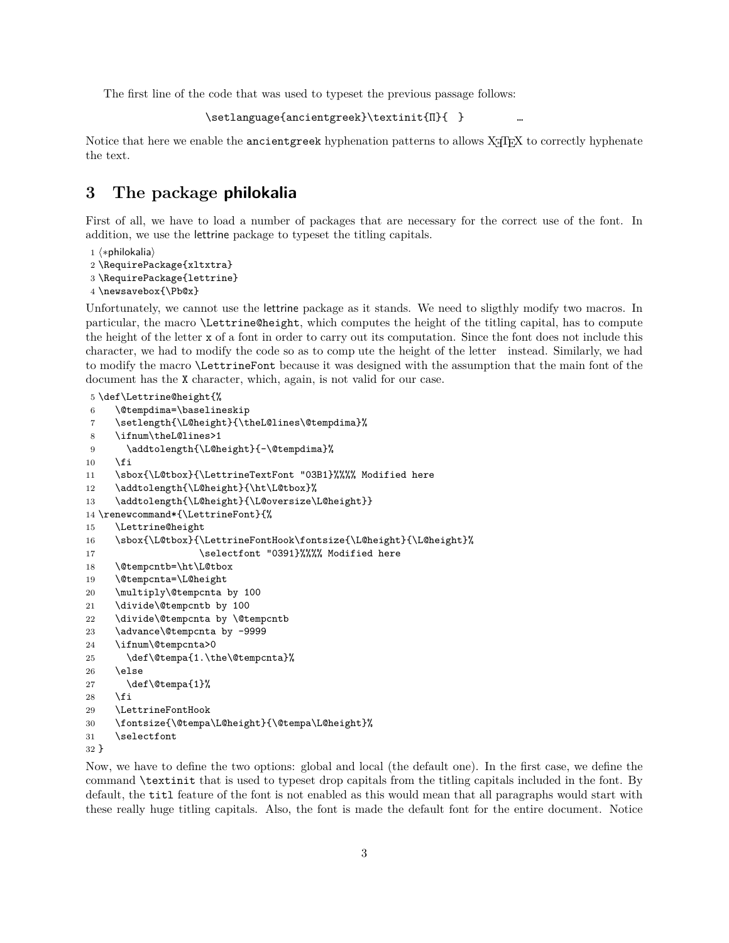The first line of the code that was used to typeset the previous passage follows:

```
\setlanguage{ancientgreek}\textinit{Π}{} …
```
Notice that here we enable the ancientgreek hyphenation patterns to allows X $\frac{1}{4}$ T<sub>EX</sub> to correctly hyphenate the text.

## **3 The package philokalia**

First of all, we have to load a number of packages that are necessary for the correct use of the font. In addition, we use the lettrine package to typeset the titling capitals.

```
1 ⟨∗philokalia⟩
```
- 2 \RequirePackage{xltxtra}
- 3 \RequirePackage{lettrine}

```
4 \newsavebox{\Pb@x}
```
Unfortunately, we cannot use the lettrine package as it stands. We need to sligthly modify two macros. In particular, the macro \Lettrine@height, which computes the height of the titling capital, has to compute the height of the letter x of a font in order to carry out its computation. Since the font does not include this character, we had to modify the code so as to compute the height of the letter instead. Similarly, we had to modify the macro \LettrineFont because it was designed with the assumption that the main font of the document has the X character, which, again, is not valid for our case.

```
5 \def\Lettrine@height{%
6 \@tempdima=\baselineskip
7 \setlength{\L@height}{\theL@lines\@tempdima}%
8 \ifnum\theL@lines>1
9 \addtolength{\L@height}{-\@tempdima}%
10 \quad \text{Vfi}11 \sbox{\L@tbox}{\LettrineTextFont "03B1}%%%% Modified here
12 \addtolength{\L@height}{\ht\L@tbox}%
13 \addtolength{\L@height}{\L@oversize\L@height}}
14 \renewcommand*{\LettrineFont}{%
15 \Lettrine@height
16 \sbox{\L@tbox}{\LettrineFontHook\fontsize{\L@height}{\L@height}%
17 \selectfont "0391}%%%% Modified here
18 \@tempcntb=\ht\L@tbox
19 \@tempcnta=\L@height
20 \multiply\@tempcnta by 100
21 \divide\@tempcntb by 100
22 \divide\@tempcnta by \@tempcntb
23 \advance\@tempcnta by -9999
24 \ifnum\@tempcnta>0
25 \def\@tempa{1.\the\@tempcnta}%
26 \else
27 \def\@tempa{1}%
28 \fi
29 \LettrineFontHook
30 \fontsize{\@tempa\L@height}{\@tempa\L@height}%
31 \selectfont
32 }
```
Now, we have to define the two options: global and local (the default one). In the first case, we define the command \textinit that is used to typeset drop capitals from the titling capitals included in the font. By default, the titl feature of the font is not enabled as this would mean that all paragraphs would start with these really huge titling capitals. Also, the font is made the default font for the entire document. Notice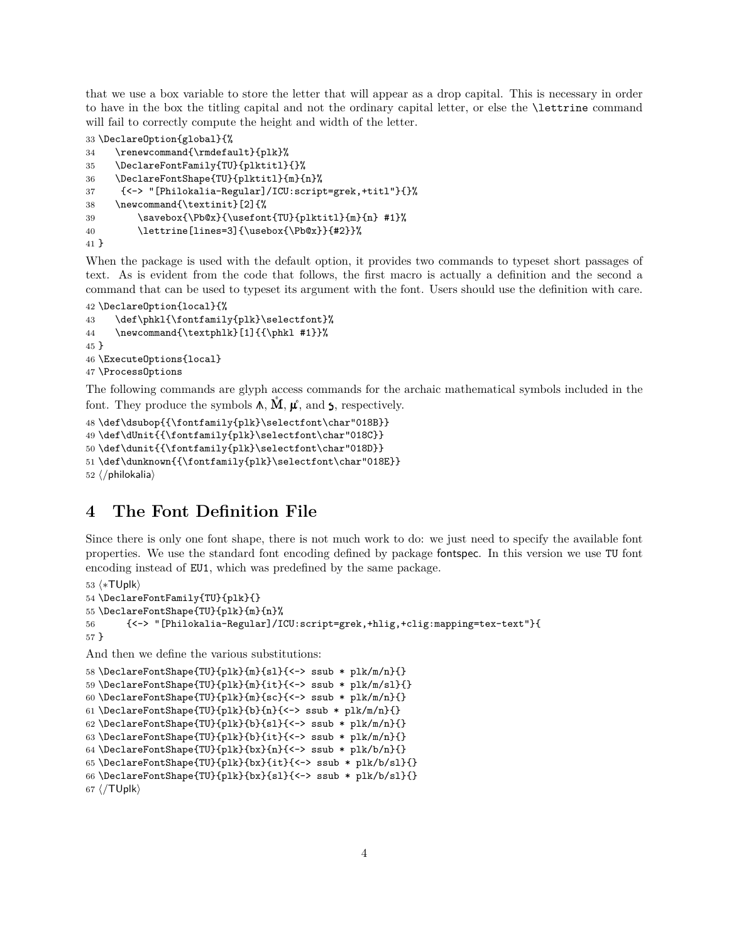that we use a box variable to store the letter that will appear as a drop capital. This is necessary in order to have in the box the titling capital and not the ordinary capital letter, or else the \lettrine command will fail to correctly compute the height and width of the letter.

```
33 \DeclareOption{global}{%
34 \renewcommand{\rmdefault}{plk}%
35 \DeclareFontFamily{TU}{plktitl}{}%
36 \DeclareFontShape{TU}{plktitl}{m}{n}%
37 {<-> "[Philokalia-Regular]/ICU:script=grek,+titl"}{}%
38 \newcommand{\textinit}[2]{%
39 \savebox{\Pb@x}{\usefont{TU}{plktitl}{m}{n} #1}%
40 \lettrine[lines=3]{\usebox{\Pb@x}}{#2}}%
41 }
```
When the package is used with the default option, it provides two commands to typeset short passages of text. As is evident from the code that follows, the first macro is actually a definition and the second a command that can be used to typeset its argument with the font. Users should use the definition with care.

```
42 \DeclareOption{local}{%
43 \def\phkl{\fontfamily{plk}\selectfont}%
44 \newcommand{\textphlk}[1]{{\phkl #1}}%
45 }
46 \ExecuteOptions{local}
47 \ProcessOptions
```
The following commands are glyph access commands for the archaic mathematical symbols included in the font. They produce the symbols  $\Lambda$ ,  $\dot{M}$ ,  $\mu^{\circ}$ , and  $\zeta$ , respectively.

```
48 \def\dsubop{{\fontfamily{plk}\selectfont\char"018B}}
49 \def\dUnit{{\fontfamily{plk}\selectfont\char"018C}}
50 \def\dunit{{\fontfamily{plk}\selectfont\char"018D}}
51 \def\dunknown{{\fontfamily{plk}\selectfont\char"018E}}
52 ⟨/philokalia⟩
```
# **4 The Font Definition File**

Since there is only one font shape, there is not much work to do: we just need to specify the available font properties. We use the standard font encoding defined by package fontspec. In this version we use TU font encoding instead of EU1, which was predefined by the same package.

```
53 ⟨∗TUplk⟩
54 \DeclareFontFamily{TU}{plk}{}
55 \DeclareFontShape{TU}{plk}{m}{n}%
56 {<-> "[Philokalia-Regular]/ICU:script=grek,+hlig,+clig:mapping=tex-text"}{
57 }
```
And then we define the various substitutions:

```
58 \DeclareFontShape{TU}{plk}{m}{sl}{<-> ssub * plk/m/n}{}
59 \DeclareFontShape{TU}{plk}{m}{it}{<-> ssub * plk/m/sl}{}
60 \DeclareFontShape{TU}{plk}{m}{sc}{<-> ssub * plk/m/n}{}
61 \DeclareFontShape{TU}{plk}{b}{n}{<-> ssub * plk/m/n}{}
62 \DeclareFontShape{TU}{plk}{b}{sl}{<-> ssub * plk/m/n}{}
63 \DeclareFontShape{TU}{plk}{b}{it}{<-> ssub * plk/m/n}{}
64 \DeclareFontShape{TU}{plk}{bx}{n}{<-> ssub * plk/b/n}{}
65 \DeclareFontShape{TU}{plk}{bx}{it}{<-> ssub * plk/b/sl}{}
66 \DeclareFontShape{TU}{plk}{bx}{sl}{<-> ssub * plk/b/sl}{}
67 ⟨/TUplk⟩
```